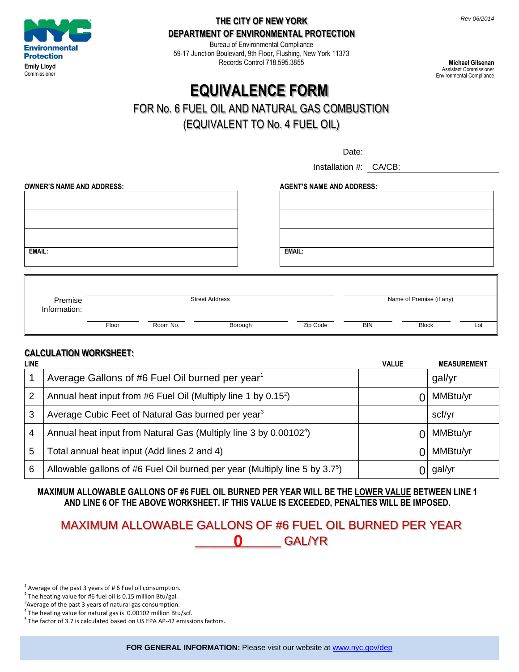

#### **THE CITY OF NEW YORK DEPARTMENT OF ENVIRONMENTAL PROTECTION**

Bureau of Environmental Compliance 59-17 Junction Boulevard, 9th Floor, Flushing, New York 11373 Records Control 718.595.3855

**Michael Gilsenan** Assistant Commissioner Environmental Compliance

# **EQUIVALENCE FORM**

## FOR No. 6 FUEL OIL AND NATURAL GAS COMBUSTION

(EQUIVALENT TO No. 4 FUEL OIL)

Date:

Installation #: CA/CB:

| <b>OWNER'S NAME AND ADDRESS:</b> | <b>AGENT'S NAME AND ADDRESS:</b> |
|----------------------------------|----------------------------------|
|                                  |                                  |
|                                  |                                  |
|                                  |                                  |
|                                  |                                  |
|                                  |                                  |
|                                  |                                  |
| <b>EMAIL:</b>                    | <b>EMAIL:</b>                    |
|                                  |                                  |
|                                  |                                  |
|                                  |                                  |

| Premise<br>Information: | <b>Street Address</b> |          |         | Name of Premise (if any) |            |              |     |
|-------------------------|-----------------------|----------|---------|--------------------------|------------|--------------|-----|
|                         | Floor                 | Room No. | Borough | Zip Code                 | <b>BIN</b> | <b>Block</b> | Lot |

#### **CALCULATION WORKSHEET:**

| <b>LINE</b> |                                                                                      | <b>VALUE</b> | <b>MEASUREMENT</b> |
|-------------|--------------------------------------------------------------------------------------|--------------|--------------------|
|             | Average Gallons of #6 Fuel Oil burned per year <sup>1</sup>                          |              | gal/yr             |
| 2           | Annual heat input from #6 Fuel Oil (Multiply line 1 by $0.15^2$ )                    |              | MMBtu/yr           |
| 3           | Average Cubic Feet of Natural Gas burned per year <sup>3</sup>                       |              | scf/yr             |
| 4           | Annual heat input from Natural Gas (Multiply line 3 by 0.00102 <sup>4</sup> )        |              | MMBtu/yr           |
| 5           | Total annual heat input (Add lines 2 and 4)                                          |              | MMBtu/yr           |
| 6           | Allowable gallons of #6 Fuel Oil burned per year (Multiply line 5 by $3.7^{\circ}$ ) |              | gal/yr             |

**MAXIMUM ALLOWABLE GALLONS OF #6 FUEL OIL BURNED PER YEAR WILL BE THE LOWER VALUE BETWEEN LINE 1 AND LINE 6 OF THE ABOVE WORKSHEET. IF THIS VALUE IS EXCEEDED, PENALTIES WILL BE IMPOSED.**

### MAXIMUM ALLOWABLE GALLONS OF #6 FUEL OIL BURNED PER YEAR \_\_\_\_\_\_\_\_\_\_\_\_\_ GAL/YR **0**

 $\overline{a}$  $1$  Average of the past 3 years of #6 Fuel oil consumption.

 $2$  The heating value for #6 fuel oil is 0.15 million Btu/gal.

 $3$ Average of the past 3 years of natural gas consumption.

 $4$  The heating value for natural gas is  $0.00102$  million Btu/scf.

<sup>&</sup>lt;sup>5</sup> The factor of 3.7 is calculated based on US EPA AP-42 emissions factors.